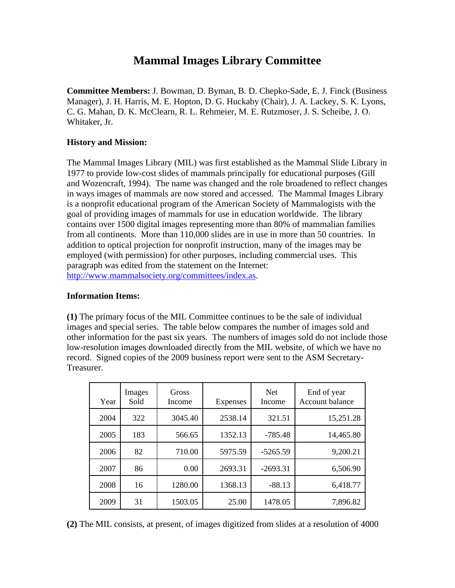## **Mammal Images Library Committee**

**Committee Members:** J. Bowman, D. Byman, B. D. Chepko-Sade, E. J. Finck (Business Manager), J. H. Harris, M. E. Hopton, D. G. Huckaby (Chair), J. A. Lackey, S. K. Lyons, C. G. Mahan, D. K. McClearn, R. L. Rehmeier, M. E. Rutzmoser, J. S. Scheibe, J. O. Whitaker, Jr.

## **History and Mission:**

The Mammal Images Library (MIL) was first established as the Mammal Slide Library in 1977 to provide low-cost slides of mammals principally for educational purposes (Gill and Wozencraft, 1994). The name was changed and the role broadened to reflect changes in ways images of mammals are now stored and accessed. The Mammal Images Library is a nonprofit educational program of the American Society of Mammalogists with the goal of providing images of mammals for use in education worldwide. The library contains over 1500 digital images representing more than 80% of mammalian families from all continents. More than 110,000 slides are in use in more than 50 countries. In addition to optical projection for nonprofit instruction, many of the images may be employed (with permission) for other purposes, including commercial uses. This paragraph was edited from the statement on the Internet: <http://www.mammalsociety.org/committees/index.as>.

## **Information Items:**

**(1)** The primary focus of the MIL Committee continues to be the sale of individual images and special series. The table below compares the number of images sold and other information for the past six years. The numbers of images sold do not include those low-resolution images downloaded directly from the MIL website, of which we have no record. Signed copies of the 2009 business report were sent to the ASM Secretary-Treasurer.

| Year | Images<br>Sold | Gross<br>Income | <b>Expenses</b> | <b>Net</b><br>Income | End of year<br>Account balance |
|------|----------------|-----------------|-----------------|----------------------|--------------------------------|
| 2004 | 322            | 3045.40         | 2538.14         | 321.51               | 15,251.28                      |
| 2005 | 183            | 566.65          | 1352.13         | $-785.48$            | 14,465.80                      |
| 2006 | 82             | 710.00          | 5975.59         | $-5265.59$           | 9,200.21                       |
| 2007 | 86             | 0.00            | 2693.31         | $-2693.31$           | 6,506.90                       |
| 2008 | 16             | 1280.00         | 1368.13         | $-88.13$             | 6,418.77                       |
| 2009 | 31             | 1503.05         | 25.00           | 1478.05              | 7,896.82                       |

**(2)** The MIL consists, at present, of images digitized from slides at a resolution of 4000